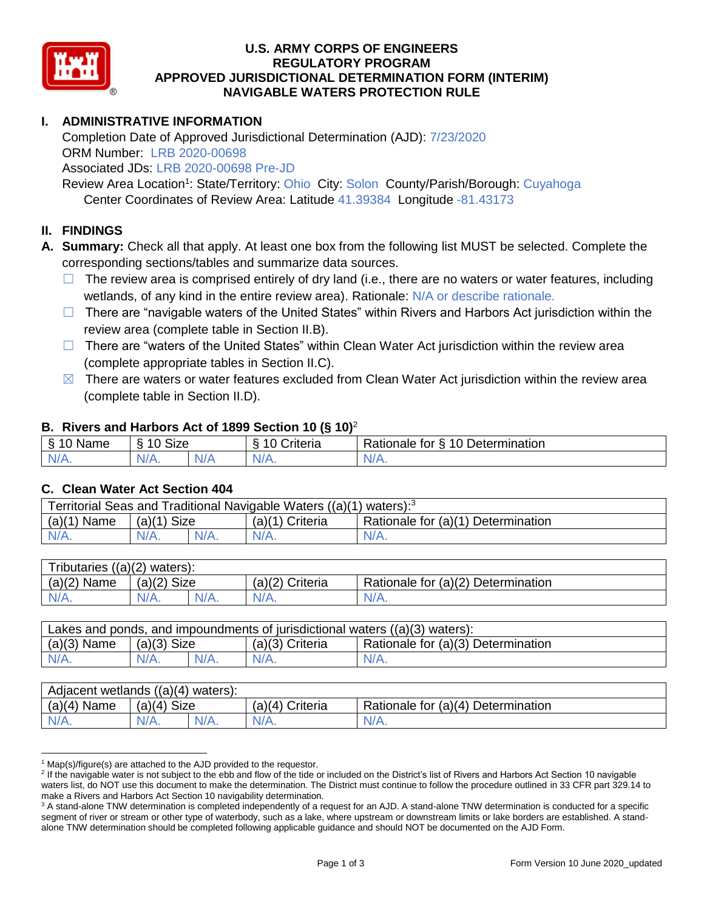

### **U.S. ARMY CORPS OF ENGINEERS REGULATORY PROGRAM APPROVED JURISDICTIONAL DETERMINATION FORM (INTERIM) NAVIGABLE WATERS PROTECTION RULE**

# **I. ADMINISTRATIVE INFORMATION**

Completion Date of Approved Jurisdictional Determination (AJD): 7/23/2020 ORM Number: LRB 2020-00698 Associated JDs: LRB 2020-00698 Pre-JD

Review Area Location<sup>1</sup>: State/Territory: Ohio City: Solon County/Parish/Borough: Cuyahoga Center Coordinates of Review Area: Latitude 41.39384 Longitude -81.43173

#### **II. FINDINGS**

**A. Summary:** Check all that apply. At least one box from the following list MUST be selected. Complete the corresponding sections/tables and summarize data sources.

- $\Box$  The review area is comprised entirely of dry land (i.e., there are no waters or water features, including wetlands, of any kind in the entire review area). Rationale: N/A or describe rationale.
- $\Box$  There are "navigable waters of the United States" within Rivers and Harbors Act jurisdiction within the review area (complete table in Section II.B).
- ☐ There are "waters of the United States" within Clean Water Act jurisdiction within the review area (complete appropriate tables in Section II.C).
- $\boxtimes$  There are waters or water features excluded from Clean Water Act jurisdiction within the review area (complete table in Section II.D).

#### **B. Rivers and Harbors Act of 1899 Section 10 (§ 10)**<sup>2</sup>

| . .     |                                               |    |                |                                           |  |
|---------|-----------------------------------------------|----|----------------|-------------------------------------------|--|
| Name    | <b>Size</b><br>$\overline{A}$<br>$\circ$<br>. |    | 10<br>;riteria | 10 Determination<br>-<br>Rationale<br>tor |  |
| $N/A$ . | N/A.                                          | N7 | Al/            | 11 <sub>0</sub><br>м.<br>$\mathbf{v}$     |  |

#### **C. Clean Water Act Section 404**

| Territorial Seas and Traditional Navigable Waters $((a)(1)$ waters): <sup>3</sup> |                |  |                   |                                    |  |
|-----------------------------------------------------------------------------------|----------------|--|-------------------|------------------------------------|--|
| (a)(1)<br>Name                                                                    | Size<br>(a)(1) |  | $(a)(1)$ Criteria | Rationale for (a)(1) Determination |  |
|                                                                                   | $N/A$ .        |  | $N/A$ .           | $N/A$ .                            |  |

| Tributaries $((a)(2)$ waters): |                |      |                 |                                    |  |  |
|--------------------------------|----------------|------|-----------------|------------------------------------|--|--|
| $(a)(2)$ Name                  | Size<br>(a)(2) |      | (a)(2) Criteria | Rationale for (a)(2) Determination |  |  |
| $N/A$ .                        | $N/A$ .        | N/A. | $N/A$ .         | N/A.                               |  |  |

| Lakes and ponds, and impoundments of jurisdictional waters $((a)(3)$ waters): |               |         |                   |                                    |  |
|-------------------------------------------------------------------------------|---------------|---------|-------------------|------------------------------------|--|
| $(a)(3)$ Name                                                                 | $(a)(3)$ Size |         | $(a)(3)$ Criteria | Rationale for (a)(3) Determination |  |
| $N/A$ .                                                                       | $N/A$ .       | $N/A$ . | $N/A$ .           | $N/A$ .                            |  |

| Adjacent wetlands $((a)(4)$ waters): |                       |         |                    |                                    |  |  |
|--------------------------------------|-----------------------|---------|--------------------|------------------------------------|--|--|
| (a)(4)<br>Name                       | <b>Size</b><br>(a)(4) |         | (a)(4)<br>Criteria | Rationale for (a)(4) Determination |  |  |
| $N/A$ .                              | $N/A$ .               | $N/A$ . | $N/A$ .            | $N/A$ .                            |  |  |

 $1$  Map(s)/figure(s) are attached to the AJD provided to the requestor.

<sup>&</sup>lt;sup>2</sup> If the navigable water is not subject to the ebb and flow of the tide or included on the District's list of Rivers and Harbors Act Section 10 navigable waters list, do NOT use this document to make the determination. The District must continue to follow the procedure outlined in 33 CFR part 329.14 to make a Rivers and Harbors Act Section 10 navigability determination.

<sup>&</sup>lt;sup>3</sup> A stand-alone TNW determination is completed independently of a request for an AJD. A stand-alone TNW determination is conducted for a specific segment of river or stream or other type of waterbody, such as a lake, where upstream or downstream limits or lake borders are established. A standalone TNW determination should be completed following applicable guidance and should NOT be documented on the AJD Form.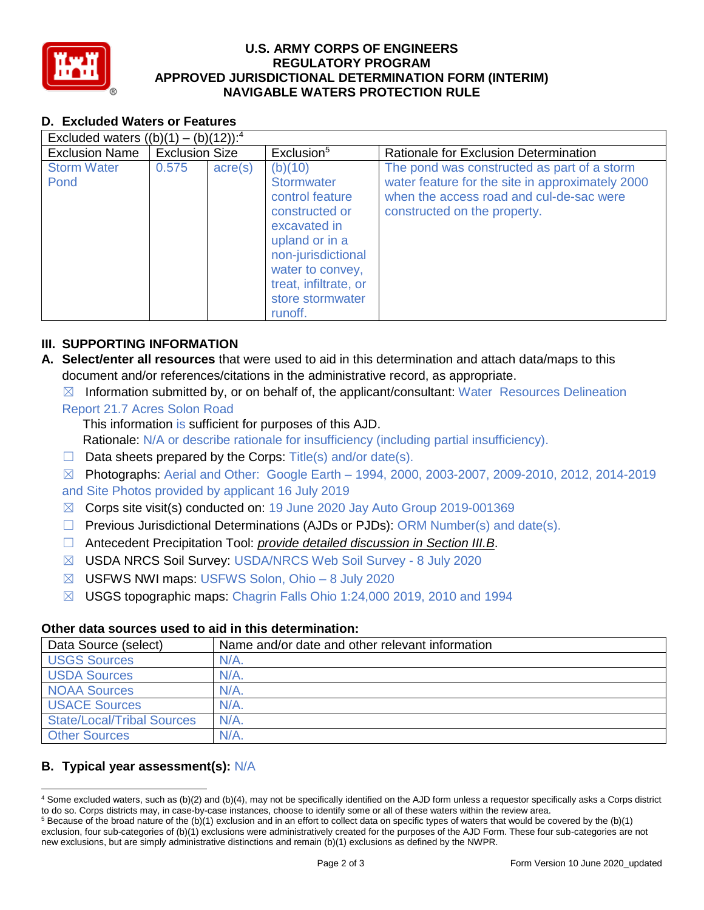

### **U.S. ARMY CORPS OF ENGINEERS REGULATORY PROGRAM APPROVED JURISDICTIONAL DETERMINATION FORM (INTERIM) NAVIGABLE WATERS PROTECTION RULE**

# **D. Excluded Waters or Features**

| Excluded waters $((b)(1) - (b)(12))$ : <sup>4</sup> |                       |                  |                                                                                                                                                                                                |                                                                                                                                                                             |  |
|-----------------------------------------------------|-----------------------|------------------|------------------------------------------------------------------------------------------------------------------------------------------------------------------------------------------------|-----------------------------------------------------------------------------------------------------------------------------------------------------------------------------|--|
| <b>Exclusion Name</b>                               | <b>Exclusion Size</b> |                  | Exclusion <sup>5</sup>                                                                                                                                                                         | Rationale for Exclusion Determination                                                                                                                                       |  |
| <b>Storm Water</b><br>Pond                          | 0.575                 | $\text{acre}(s)$ | (b)(10)<br>Stormwater<br>control feature<br>constructed or<br>excavated in<br>upland or in a<br>non-jurisdictional<br>water to convey,<br>treat, infiltrate, or<br>store stormwater<br>runoff. | The pond was constructed as part of a storm<br>water feature for the site in approximately 2000<br>when the access road and cul-de-sac were<br>constructed on the property. |  |

# **III. SUPPORTING INFORMATION**

- **A. Select/enter all resources** that were used to aid in this determination and attach data/maps to this document and/or references/citations in the administrative record, as appropriate.
	- $\boxtimes$  Information submitted by, or on behalf of, the applicant/consultant: Water Resources Delineation Report 21.7 Acres Solon Road

This information is sufficient for purposes of this AJD.

Rationale: N/A or describe rationale for insufficiency (including partial insufficiency).

 $\Box$  Data sheets prepared by the Corps: Title(s) and/or date(s).

☒ Photographs: Aerial and Other: Google Earth – 1994, 2000, 2003-2007, 2009-2010, 2012, 2014-2019 and Site Photos provided by applicant 16 July 2019

- ☒ Corps site visit(s) conducted on: 19 June 2020 Jay Auto Group 2019-001369
- $\Box$  Previous Jurisdictional Determinations (AJDs or PJDs): ORM Number(s) and date(s).
- ☐ Antecedent Precipitation Tool: *provide detailed discussion in Section III.B*.
- ☒ USDA NRCS Soil Survey: USDA/NRCS Web Soil Survey 8 July 2020
- ☒ USFWS NWI maps: USFWS Solon, Ohio 8 July 2020
- ☒ USGS topographic maps: Chagrin Falls Ohio 1:24,000 2019, 2010 and 1994

## **Other data sources used to aid in this determination:**

| Data Source (select)              | Name and/or date and other relevant information |
|-----------------------------------|-------------------------------------------------|
| <b>USGS Sources</b>               | N/A.                                            |
| <b>USDA Sources</b>               | N/A                                             |
| <b>NOAA Sources</b>               | N/A                                             |
| <b>USACE Sources</b>              | $N/A$ .                                         |
| <b>State/Local/Tribal Sources</b> | $N/A$ .                                         |
| <b>Other Sources</b>              | N/A                                             |

## **B. Typical year assessment(s):** N/A

 <sup>4</sup> Some excluded waters, such as (b)(2) and (b)(4), may not be specifically identified on the AJD form unless a requestor specifically asks a Corps district to do so. Corps districts may, in case-by-case instances, choose to identify some or all of these waters within the review area.

 $5$  Because of the broad nature of the (b)(1) exclusion and in an effort to collect data on specific types of waters that would be covered by the (b)(1) exclusion, four sub-categories of (b)(1) exclusions were administratively created for the purposes of the AJD Form. These four sub-categories are not new exclusions, but are simply administrative distinctions and remain (b)(1) exclusions as defined by the NWPR.